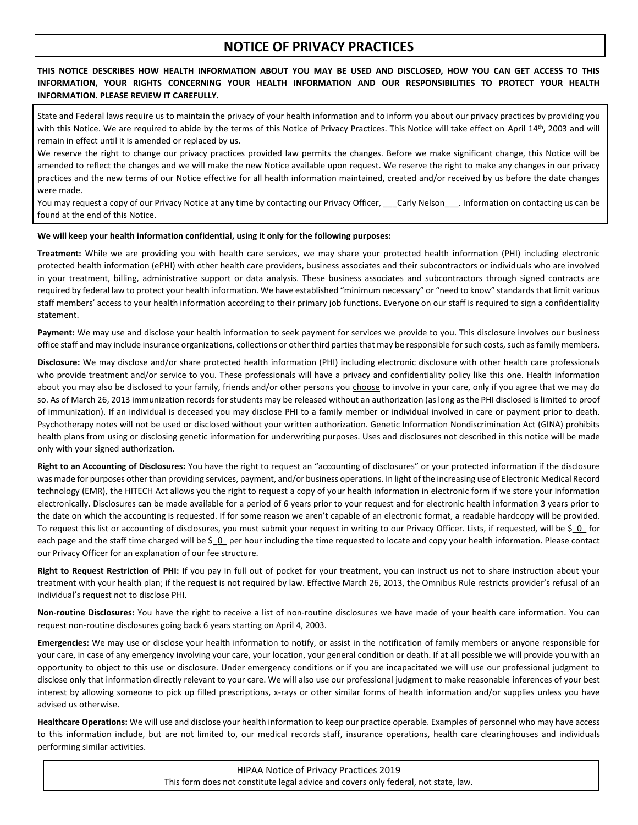## **NOTICE OF PRIVACY PRACTICES**

**THIS NOTICE DESCRIBES HOW HEALTH INFORMATION ABOUT YOU MAY BE USED AND DISCLOSED, HOW YOU CAN GET ACCESS TO THIS INFORMATION, YOUR RIGHTS CONCERNING YOUR HEALTH INFORMATION AND OUR RESPONSIBILITIES TO PROTECT YOUR HEALTH INFORMATION. PLEASE REVIEW IT CAREFULLY.**

State and Federal laws require us to maintain the privacy of your health information and to inform you about our privacy practices by providing you with this Notice. We are required to abide by the terms of this Notice of Privacy Practices. This Notice will take effect on April 14<sup>th</sup>, 2003 and will remain in effect until it is amended or replaced by us.

We reserve the right to change our privacy practices provided law permits the changes. Before we make significant change, this Notice will be amended to reflect the changes and we will make the new Notice available upon request. We reserve the right to make any changes in our privacy practices and the new terms of our Notice effective for all health information maintained, created and/or received by us before the date changes were made.

You may request a copy of our Privacy Notice at any time by contacting our Privacy Officer, Carly Nelson . Information on contacting us can be found at the end of this Notice.

## **We will keep your health information confidential, using it only for the following purposes:**

**Treatment:** While we are providing you with health care services, we may share your protected health information (PHI) including electronic protected health information (ePHI) with other health care providers, business associates and their subcontractors or individuals who are involved in your treatment, billing, administrative support or data analysis. These business associates and subcontractors through signed contracts are required by federal law to protect your health information. We have established "minimum necessary" or "need to know" standards that limit various staff members' access to your health information according to their primary job functions. Everyone on our staff is required to sign a confidentiality statement.

**Payment:** We may use and disclose your health information to seek payment for services we provide to you. This disclosure involves our business office staff and may include insurance organizations, collections or other third parties that may be responsible for such costs, such as family members.

**Disclosure:** We may disclose and/or share protected health information (PHI) including electronic disclosure with other health care professionals who provide treatment and/or service to you. These professionals will have a privacy and confidentiality policy like this one. Health information about you may also be disclosed to your family, friends and/or other persons you choose to involve in your care, only if you agree that we may do so. As of March 26, 2013 immunization records for students may be released without an authorization (as long as the PHI disclosed is limited to proof of immunization). If an individual is deceased you may disclose PHI to a family member or individual involved in care or payment prior to death. Psychotherapy notes will not be used or disclosed without your written authorization. Genetic Information Nondiscrimination Act (GINA) prohibits health plans from using or disclosing genetic information for underwriting purposes. Uses and disclosures not described in this notice will be made only with your signed authorization.

**Right to an Accounting of Disclosures:** You have the right to request an "accounting of disclosures" or your protected information if the disclosure was made for purposes other than providing services, payment, and/or business operations. In light of the increasing use of Electronic Medical Record technology (EMR), the HITECH Act allows you the right to request a copy of your health information in electronic form if we store your information electronically. Disclosures can be made available for a period of 6 years prior to your request and for electronic health information 3 years prior to the date on which the accounting is requested. If for some reason we aren't capable of an electronic format, a readable hardcopy will be provided. To request this list or accounting of disclosures, you must submit your request in writing to our Privacy Officer. Lists, if requested, will be \$\_0\_ for each page and the staff time charged will be \$ 0 per hour including the time requested to locate and copy your health information. Please contact our Privacy Officer for an explanation of our fee structure.

**Right to Request Restriction of PHI:** If you pay in full out of pocket for your treatment, you can instruct us not to share instruction about your treatment with your health plan; if the request is not required by law. Effective March 26, 2013, the Omnibus Rule restricts provider's refusal of an individual's request not to disclose PHI.

**Non-routine Disclosures:** You have the right to receive a list of non-routine disclosures we have made of your health care information. You can request non-routine disclosures going back 6 years starting on April 4, 2003.

**Emergencies:** We may use or disclose your health information to notify, or assist in the notification of family members or anyone responsible for your care, in case of any emergency involving your care, your location, your general condition or death. If at all possible we will provide you with an opportunity to object to this use or disclosure. Under emergency conditions or if you are incapacitated we will use our professional judgment to disclose only that information directly relevant to your care. We will also use our professional judgment to make reasonable inferences of your best interest by allowing someone to pick up filled prescriptions, x-rays or other similar forms of health information and/or supplies unless you have advised us otherwise.

**Healthcare Operations:** We will use and disclose your health information to keep our practice operable. Examples of personnel who may have access to this information include, but are not limited to, our medical records staff, insurance operations, health care clearinghouses and individuals performing similar activities.

> HIPAA Notice of Privacy Practices 2019 This form does not constitute legal advice and covers only federal, not state, law.